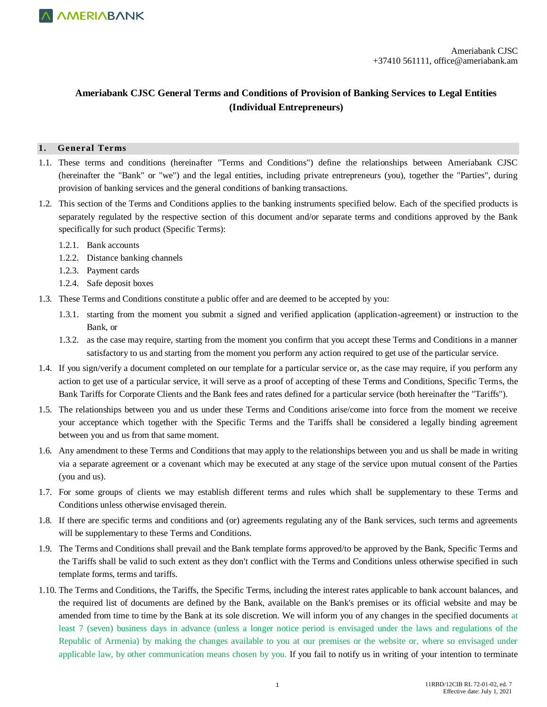

### **Ameriabank CJSC General Terms and Conditions of Provision of Banking Services to Legal Entities (Individual Entrepreneurs)**

#### **1. General Terms**

- 1.1. These terms and conditions (hereinafter "Terms and Conditions") define the relationships between Ameriabank CJSC (hereinafter the "Bank" or "we") and the legal entities, including private entrepreneurs (you), together the "Parties", during provision of banking services and the general conditions of banking transactions.
- 1.2. This section of the Terms and Conditions applies to the banking instruments specified below. Each of the specified products is separately regulated by the respective section of this document and/or separate terms and conditions approved by the Bank specifically for such product (Specific Terms):
	- 1.2.1. Bank accounts
	- 1.2.2. Distance banking channels
	- 1.2.3. Payment cards
	- 1.2.4. Safe deposit boxes
- 1.3. These Terms and Conditions constitute a public offer and are deemed to be accepted by you:
	- 1.3.1. starting from the moment you submit a signed and verified application (application-agreement) or instruction to the Bank, or
	- 1.3.2. as the case may require, starting from the moment you confirm that you accept these Terms and Conditions in a manner satisfactory to us and starting from the moment you perform any action required to get use of the particular service.
- 1.4. If you sign/verify a document completed on our template for a particular service or, as the case may require, if you perform any action to get use of a particular service, it will serve as a proof of accepting of these Terms and Conditions, Specific Terms, the Bank Tariffs for Corporate Clients and the Bank fees and rates defined for a particular service (both hereinafter the "Tariffs").
- 1.5. The relationships between you and us under these Terms and Conditions arise/come into force from the moment we receive your acceptance which together with the Specific Terms and the Tariffs shall be considered a legally binding agreement between you and us from that same moment.
- 1.6. Any amendment to these Terms and Conditions that may apply to the relationships between you and us shall be made in writing via a separate agreement or a covenant which may be executed at any stage of the service upon mutual consent of the Parties (you and us).
- 1.7. For some groups of clients we may establish different terms and rules which shall be supplementary to these Terms and Conditions unless otherwise envisaged therein.
- 1.8. If there are specific terms and conditions and (or) agreements regulating any of the Bank services, such terms and agreements will be supplementary to these Terms and Conditions.
- 1.9. The Terms and Conditions shall prevail and the Bank template forms approved/to be approved by the Bank, Specific Terms and the Tariffs shall be valid to such extent as they don't conflict with the Terms and Conditions unless otherwise specified in such template forms, terms and tariffs.
- 1.10. The Terms and Conditions, the Tariffs, the Specific Terms, including the interest rates applicable to bank account balances, and the required list of documents are defined by the Bank, available on the Bank's premises or its official website and may be amended from time to time by the Bank at its sole discretion. We will inform you of any changes in the specified documents at least 7 (seven) business days in advance (unless a longer notice period is envisaged under the laws and regulations of the Republic of Armenia) by making the changes available to you at our premises or the website or, where so envisaged under applicable law, by other communication means chosen by you. If you fail to notify us in writing of your intention to terminate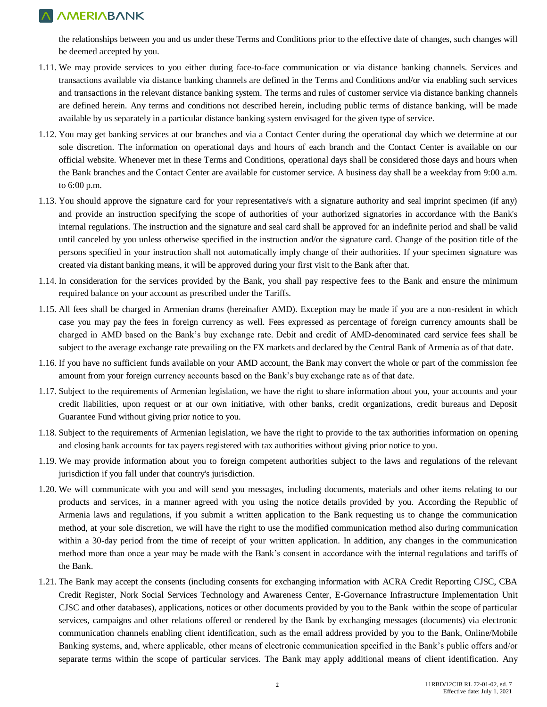the relationships between you and us under these Terms and Conditions prior to the effective date of changes, such changes will be deemed accepted by you.

- 1.11. We may provide services to you either during face-to-face communication or via distance banking channels. Services and transactions available via distance banking channels are defined in the Terms and Conditions and/or via enabling such services and transactions in the relevant distance banking system. The terms and rules of customer service via distance banking channels are defined herein. Any terms and conditions not described herein, including public terms of distance banking, will be made available by us separately in a particular distance banking system envisaged for the given type of service.
- 1.12. You may get banking services at our branches and via a Contact Center during the operational day which we determine at our sole discretion. The information on operational days and hours of each branch and the Contact Center is available on our official website. Whenever met in these Terms and Conditions, operational days shall be considered those days and hours when the Bank branches and the Contact Center are available for customer service. A business day shall be a weekday from 9:00 a.m. to 6:00 p.m.
- 1.13. You should approve the signature card for your representative/s with a signature authority and seal imprint specimen (if any) and provide an instruction specifying the scope of authorities of your authorized signatories in accordance with the Bank's internal regulations. The instruction and the signature and seal card shall be approved for an indefinite period and shall be valid until canceled by you unless otherwise specified in the instruction and/or the signature card. Change of the position title of the persons specified in your instruction shall not automatically imply change of their authorities. If your specimen signature was created via distant banking means, it will be approved during your first visit to the Bank after that.
- 1.14. In consideration for the services provided by the Bank, you shall pay respective fees to the Bank and ensure the minimum required balance on your account as prescribed under the Tariffs.
- 1.15. All fees shall be charged in Armenian drams (hereinafter AMD). Exception may be made if you are a non-resident in which case you may pay the fees in foreign currency as well. Fees expressed as percentage of foreign currency amounts shall be charged in AMD based on the Bank's buy exchange rate. Debit and credit of AMD-denominated card service fees shall be subject to the average exchange rate prevailing on the FX markets and declared by the Central Bank of Armenia as of that date.
- 1.16. If you have no sufficient funds available on your AMD account, the Bank may convert the whole or part of the commission fee amount from your foreign currency accounts based on the Bank's buy exchange rate as of that date.
- 1.17. Subject to the requirements of Armenian legislation, we have the right to share information about you, your accounts and your credit liabilities, upon request or at our own initiative, with other banks, credit organizations, credit bureaus and Deposit Guarantee Fund without giving prior notice to you.
- 1.18. Subject to the requirements of Armenian legislation, we have the right to provide to the tax authorities information on opening and closing bank accounts for tax payers registered with tax authorities without giving prior notice to you.
- 1.19. We may provide information about you to foreign competent authorities subject to the laws and regulations of the relevant jurisdiction if you fall under that country's jurisdiction.
- 1.20. We will communicate with you and will send you messages, including documents, materials and other items relating to our products and services, in a manner agreed with you using the notice details provided by you. According the Republic of Armenia laws and regulations, if you submit a written application to the Bank requesting us to change the communication method, at your sole discretion, we will have the right to use the modified communication method also during communication within a 30-day period from the time of receipt of your written application. In addition, any changes in the communication method more than once a year may be made with the Bank's consent in accordance with the internal regulations and tariffs of the Bank.
- 1.21. The Bank may accept the consents (including consents for exchanging information with ACRA Credit Reporting CJSC, CBA Credit Register, Nork Social Services Technology and Awareness Center, E-Governance Infrastructure Implementation Unit CJSC and other databases), applications, notices or other documents provided by you to the Bank within the scope of particular services, campaigns and other relations offered or rendered by the Bank by exchanging messages (documents) via electronic communication channels enabling client identification, such as the email address provided by you to the Bank, Online/Mobile Banking systems, and, where applicable, other means of electronic communication specified in the Bank's public offers and/or separate terms within the scope of particular services. The Bank may apply additional means of client identification. Any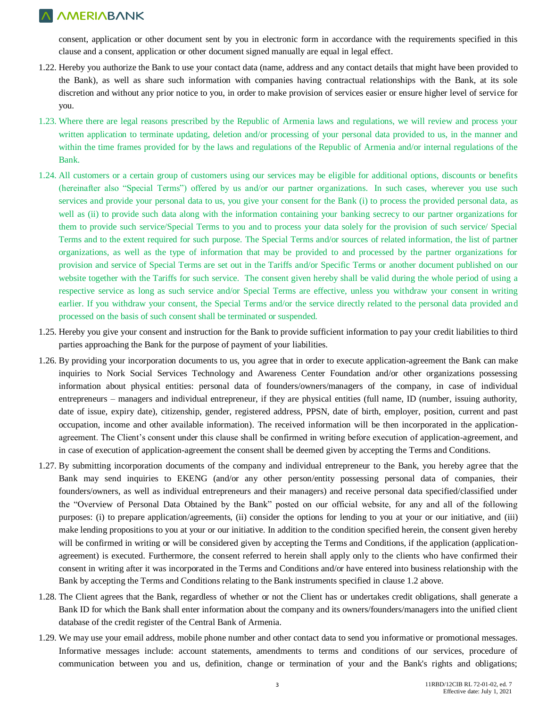consent, application or other document sent by you in electronic form in accordance with the requirements specified in this clause and a consent, application or other document signed manually are equal in legal effect.

- 1.22. Hereby you authorize the Bank to use your contact data (name, address and any contact details that might have been provided to the Bank), as well as share such information with companies having contractual relationships with the Bank, at its sole discretion and without any prior notice to you, in order to make provision of services easier or ensure higher level of service for you.
- 1.23. Where there are legal reasons prescribed by the Republic of Armenia laws and regulations, we will review and process your written application to terminate updating, deletion and/or processing of your personal data provided to us, in the manner and within the time frames provided for by the laws and regulations of the Republic of Armenia and/or internal regulations of the Bank.
- 1.24. All customers or a certain group of customers using our services may be eligible for additional options, discounts or benefits (hereinafter also "Special Terms") offered by us and/or our partner organizations. In such cases, wherever you use such services and provide your personal data to us, you give your consent for the Bank (i) to process the provided personal data, as well as (ii) to provide such data along with the information containing your banking secrecy to our partner organizations for them to provide such service/Special Terms to you and to process your data solely for the provision of such service/ Special Terms and to the extent required for such purpose. The Special Terms and/or sources of related information, the list of partner organizations, as well as the type of information that may be provided to and processed by the partner organizations for provision and service of Special Terms are set out in the Tariffs and/or Specific Terms or another document published on our website together with the Tariffs for such service. The consent given hereby shall be valid during the whole period of using a respective service as long as such service and/or Special Terms are effective, unless you withdraw your consent in writing earlier. If you withdraw your consent, the Special Terms and/or the service directly related to the personal data provided and processed on the basis of such consent shall be terminated or suspended.
- 1.25. Hereby you give your consent and instruction for the Bank to provide sufficient information to pay your credit liabilities to third parties approaching the Bank for the purpose of payment of your liabilities.
- 1.26. By providing your incorporation documents to us, you agree that in order to execute application-agreement the Bank can make inquiries to Nork Social Services Technology and Awareness Center Foundation and/or other organizations possessing information about physical entities: personal data of founders/owners/managers of the company, in case of individual entrepreneurs – managers and individual entrepreneur, if they are physical entities (full name, ID (number, issuing authority, date of issue, expiry date), citizenship, gender, registered address, PPSN, date of birth, employer, position, current and past occupation, income and other available information). The received information will be then incorporated in the applicationagreement. The Client's consent under this clause shall be confirmed in writing before execution of application-agreement, and in case of execution of application-agreement the consent shall be deemed given by accepting the Terms and Conditions.
- 1.27. By submitting incorporation documents of the company and individual entrepreneur to the Bank, you hereby agree that the Bank may send inquiries to EKENG (and/or any other person/entity possessing personal data of companies, their founders/owners, as well as individual entrepreneurs and their managers) and receive personal data specified/classified under the "Overview of Personal Data Obtained by the Bank" posted on our official website, for any and all of the following purposes: (i) to prepare application/agreements, (ii) consider the options for lending to you at your or our initiative, and (iii) make lending propositions to you at your or our initiative. In addition to the condition specified herein, the consent given hereby will be confirmed in writing or will be considered given by accepting the Terms and Conditions, if the application (applicationagreement) is executed. Furthermore, the consent referred to herein shall apply only to the clients who have confirmed their consent in writing after it was incorporated in the Terms and Conditions and/or have entered into business relationship with the Bank by accepting the Terms and Conditions relating to the Bank instruments specified in clause 1.2 above.
- 1.28. The Client agrees that the Bank, regardless of whether or not the Client has or undertakes credit obligations, shall generate a Bank ID for which the Bank shall enter information about the company and its owners/founders/managers into the unified client database of the credit register of the Central Bank of Armenia.
- 1.29. We may use your email address, mobile phone number and other contact data to send you informative or promotional messages. Informative messages include: account statements, amendments to terms and conditions of our services, procedure of communication between you and us, definition, change or termination of your and the Bank's rights and obligations;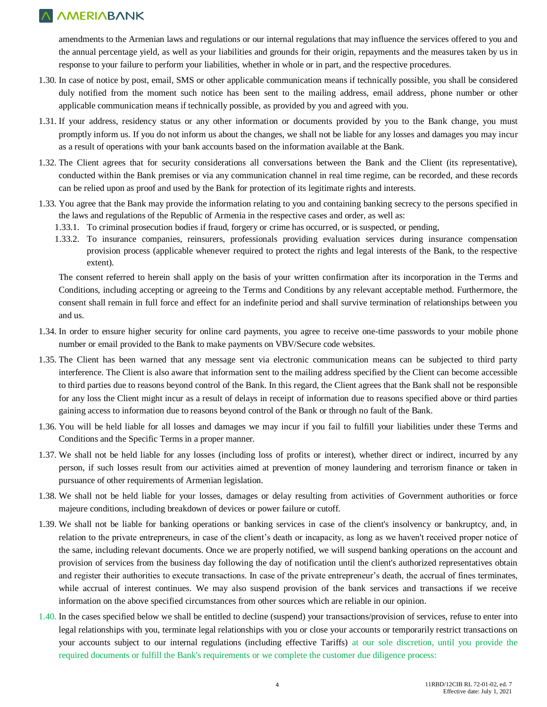amendments to the Armenian laws and regulations or our internal regulations that may influence the services offered to you and the annual percentage yield, as well as your liabilities and grounds for their origin, repayments and the measures taken by us in response to your failure to perform your liabilities, whether in whole or in part, and the respective procedures.

- 1.30. In case of notice by post, email, SMS or other applicable communication means if technically possible, you shall be considered duly notified from the moment such notice has been sent to the mailing address, email address, phone number or other applicable communication means if technically possible, as provided by you and agreed with you.
- 1.31. If your address, residency status or any other information or documents provided by you to the Bank change, you must promptly inform us. If you do not inform us about the changes, we shall not be liable for any losses and damages you may incur as a result of operations with your bank accounts based on the information available at the Bank.
- 1.32. The Client agrees that for security considerations all conversations between the Bank and the Client (its representative), conducted within the Bank premises or via any communication channel in real time regime, can be recorded, and these records can be relied upon as proof and used by the Bank for protection of its legitimate rights and interests.
- 1.33. You agree that the Bank may provide the information relating to you and containing banking secrecy to the persons specified in the laws and regulations of the Republic of Armenia in the respective cases and order, as well as:
	- 1.33.1. To criminal prosecution bodies if fraud, forgery or crime has occurred, or is suspected, or pending,
	- 1.33.2. To insurance companies, reinsurers, professionals providing evaluation services during insurance compensation provision process (applicable whenever required to protect the rights and legal interests of the Bank, to the respective extent).

The consent referred to herein shall apply on the basis of your written confirmation after its incorporation in the Terms and Conditions, including accepting or agreeing to the Terms and Conditions by any relevant acceptable method. Furthermore, the consent shall remain in full force and effect for an indefinite period and shall survive termination of relationships between you and us.

- 1.34. In order to ensure higher security for online card payments, you agree to receive one-time passwords to your mobile phone number or email provided to the Bank to make payments on VBV/Secure code websites.
- 1.35. The Client has been warned that any message sent via electronic communication means can be subjected to third party interference. The Client is also aware that information sent to the mailing address specified by the Client can become accessible to third parties due to reasons beyond control of the Bank. In this regard, the Client agrees that the Bank shall not be responsible for any loss the Client might incur as a result of delays in receipt of information due to reasons specified above or third parties gaining access to information due to reasons beyond control of the Bank or through no fault of the Bank.
- 1.36. You will be held liable for all losses and damages we may incur if you fail to fulfill your liabilities under these Terms and Conditions and the Specific Terms in a proper manner.
- 1.37. We shall not be held liable for any losses (including loss of profits or interest), whether direct or indirect, incurred by any person, if such losses result from our activities aimed at prevention of money laundering and terrorism finance or taken in pursuance of other requirements of Armenian legislation.
- 1.38. We shall not be held liable for your losses, damages or delay resulting from activities of Government authorities or force majeure conditions, including breakdown of devices or power failure or cutoff.
- 1.39. We shall not be liable for banking operations or banking services in case of the client's insolvency or bankruptcy, and, in relation to the private entrepreneurs, in case of the client's death or incapacity, as long as we haven't received proper notice of the same, including relevant documents. Once we are properly notified, we will suspend banking operations on the account and provision of services from the business day following the day of notification until the client's authorized representatives obtain and register their authorities to execute transactions. In case of the private entrepreneur's death, the accrual of fines terminates, while accrual of interest continues. We may also suspend provision of the bank services and transactions if we receive information on the above specified circumstances from other sources which are reliable in our opinion.
- 1.40. In the cases specified below we shall be entitled to decline (suspend) your transactions/provision of services, refuse to enter into legal relationships with you, terminate legal relationships with you or close your accounts or temporarily restrict transactions on your accounts subject to our internal regulations (including effective Tariffs) at our sole discretion, until you provide the required documents or fulfill the Bank's requirements or we complete the customer due diligence process: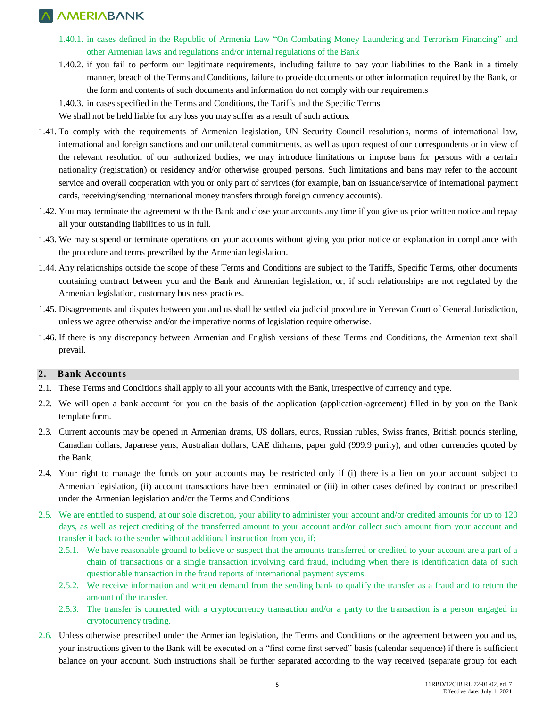- 1.40.1. in cases defined in the Republic of Armenia Law "On Combating Money Laundering and Terrorism Financing" and other Armenian laws and regulations and/or internal regulations of the Bank
- 1.40.2. if you fail to perform our legitimate requirements, including failure to pay your liabilities to the Bank in a timely manner, breach of the Terms and Conditions, failure to provide documents or other information required by the Bank, or the form and contents of such documents and information do not comply with our requirements

1.40.3. in cases specified in the Terms and Conditions, the Tariffs and the Specific Terms

We shall not be held liable for any loss you may suffer as a result of such actions.

- 1.41. To comply with the requirements of Armenian legislation, UN Security Council resolutions, norms of international law, international and foreign sanctions and our unilateral commitments, as well as upon request of our correspondents or in view of the relevant resolution of our authorized bodies, we may introduce limitations or impose bans for persons with a certain nationality (registration) or residency and/or otherwise grouped persons. Such limitations and bans may refer to the account service and overall cooperation with you or only part of services (for example, ban on issuance/service of international payment cards, receiving/sending international money transfers through foreign currency accounts).
- 1.42. You may terminate the agreement with the Bank and close your accounts any time if you give us prior written notice and repay all your outstanding liabilities to us in full.
- 1.43. We may suspend or terminate operations on your accounts without giving you prior notice or explanation in compliance with the procedure and terms prescribed by the Armenian legislation.
- 1.44. Any relationships outside the scope of these Terms and Conditions are subject to the Tariffs, Specific Terms, other documents containing contract between you and the Bank and Armenian legislation, or, if such relationships are not regulated by the Armenian legislation, customary business practices.
- 1.45. Disagreements and disputes between you and us shall be settled via judicial procedure in Yerevan Court of General Jurisdiction, unless we agree otherwise and/or the imperative norms of legislation require otherwise.
- 1.46. If there is any discrepancy between Armenian and English versions of these Terms and Conditions, the Armenian text shall prevail.

#### **2. Bank Accounts**

- 2.1. These Terms and Conditions shall apply to all your accounts with the Bank, irrespective of currency and type.
- 2.2. We will open a bank account for you on the basis of the application (application-agreement) filled in by you on the Bank template form.
- 2.3. Current accounts may be opened in Armenian drams, US dollars, euros, Russian rubles, Swiss francs, British pounds sterling, Canadian dollars, Japanese yens, Australian dollars, UAE dirhams, paper gold (999.9 purity), and other currencies quoted by the Bank.
- 2.4. Your right to manage the funds on your accounts may be restricted only if (i) there is a lien on your account subject to Armenian legislation, (ii) account transactions have been terminated or (iii) in other cases defined by contract or prescribed under the Armenian legislation and/or the Terms and Conditions.
- 2.5. We are entitled to suspend, at our sole discretion, your ability to administer your account and/or credited amounts for up to 120 days, as well as reject crediting of the transferred amount to your account and/or collect such amount from your account and transfer it back to the sender without additional instruction from you, if:
	- 2.5.1. We have reasonable ground to believe or suspect that the amounts transferred or credited to your account are a part of a chain of transactions or a single transaction involving card fraud, including when there is identification data of such questionable transaction in the fraud reports of international payment systems.
	- 2.5.2. We receive information and written demand from the sending bank to qualify the transfer as a fraud and to return the amount of the transfer.
	- 2.5.3. The transfer is connected with a cryptocurrency transaction and/or a party to the transaction is a person engaged in cryptocurrency trading.
- 2.6. Unless otherwise prescribed under the Armenian legislation, the Terms and Conditions or the agreement between you and us, your instructions given to the Bank will be executed on a "first come first served" basis (calendar sequence) if there is sufficient balance on your account. Such instructions shall be further separated according to the way received (separate group for each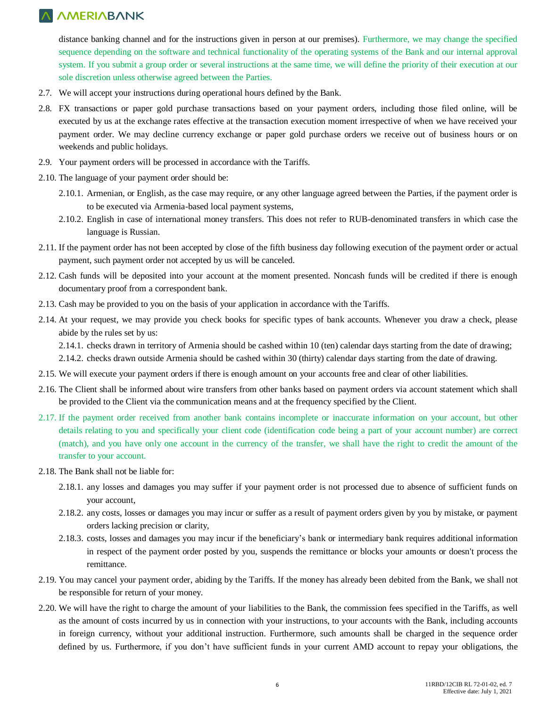distance banking channel and for the instructions given in person at our premises). Furthermore, we may change the specified sequence depending on the software and technical functionality of the operating systems of the Bank and our internal approval system. If you submit a group order or several instructions at the same time, we will define the priority of their execution at our sole discretion unless otherwise agreed between the Parties.

- 2.7. We will accept your instructions during operational hours defined by the Bank.
- 2.8. FX transactions or paper gold purchase transactions based on your payment orders, including those filed online, will be executed by us at the exchange rates effective at the transaction execution moment irrespective of when we have received your payment order. We may decline currency exchange or paper gold purchase orders we receive out of business hours or on weekends and public holidays.
- 2.9. Your payment orders will be processed in accordance with the Tariffs.
- 2.10. The language of your payment order should be:
	- 2.10.1. Armenian, or English, as the case may require, or any other language agreed between the Parties, if the payment order is to be executed via Armenia-based local payment systems,
	- 2.10.2. English in case of international money transfers. This does not refer to RUB-denominated transfers in which case the language is Russian.
- 2.11. If the payment order has not been accepted by close of the fifth business day following execution of the payment order or actual payment, such payment order not accepted by us will be canceled.
- 2.12. Cash funds will be deposited into your account at the moment presented. Noncash funds will be credited if there is enough documentary proof from a correspondent bank.
- 2.13. Cash may be provided to you on the basis of your application in accordance with the Tariffs.
- 2.14. At your request, we may provide you check books for specific types of bank accounts. Whenever you draw a check, please abide by the rules set by us:

2.14.1. checks drawn in territory of Armenia should be cashed within 10 (ten) calendar days starting from the date of drawing;

2.14.2. checks drawn outside Armenia should be cashed within 30 (thirty) calendar days starting from the date of drawing.

- 2.15. We will execute your payment orders if there is enough amount on your accounts free and clear of other liabilities.
- 2.16. The Client shall be informed about wire transfers from other banks based on payment orders via account statement which shall be provided to the Client via the communication means and at the frequency specified by the Client.
- 2.17. If the payment order received from another bank contains incomplete or inaccurate information on your account, but other details relating to you and specifically your client code (identification code being a part of your account number) are correct (match), and you have only one account in the currency of the transfer, we shall have the right to credit the amount of the transfer to your account.
- 2.18. The Bank shall not be liable for:
	- 2.18.1. any losses and damages you may suffer if your payment order is not processed due to absence of sufficient funds on your account,
	- 2.18.2. any costs, losses or damages you may incur or suffer as a result of payment orders given by you by mistake, or payment orders lacking precision or clarity,
	- 2.18.3. costs, losses and damages you may incur if the beneficiary's bank or intermediary bank requires additional information in respect of the payment order posted by you, suspends the remittance or blocks your amounts or doesn't process the remittance.
- 2.19. You may cancel your payment order, abiding by the Tariffs. If the money has already been debited from the Bank, we shall not be responsible for return of your money.
- 2.20. We will have the right to charge the amount of your liabilities to the Bank, the commission fees specified in the Tariffs, as well as the amount of costs incurred by us in connection with your instructions, to your accounts with the Bank, including accounts in foreign currency, without your additional instruction. Furthermore, such amounts shall be charged in the sequence order defined by us. Furthermore, if you don't have sufficient funds in your current AMD account to repay your obligations, the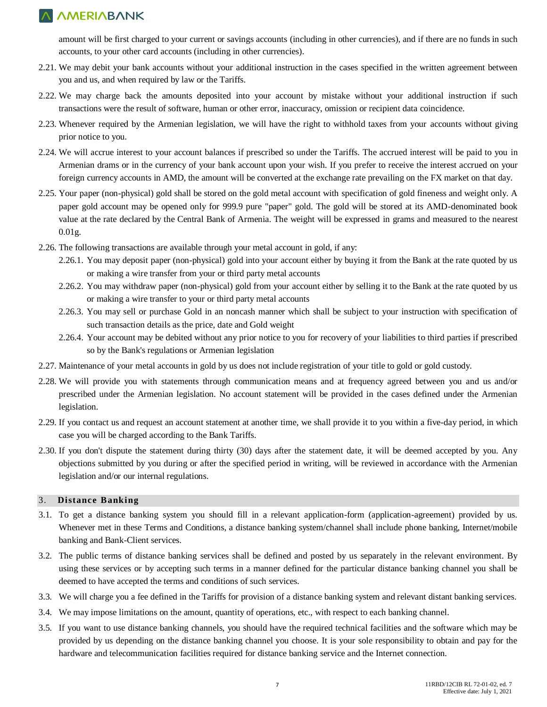amount will be first charged to your current or savings accounts (including in other currencies), and if there are no funds in such accounts, to your other card accounts (including in other currencies).

- 2.21. We may debit your bank accounts without your additional instruction in the cases specified in the written agreement between you and us, and when required by law or the Tariffs.
- 2.22. We may charge back the amounts deposited into your account by mistake without your additional instruction if such transactions were the result of software, human or other error, inaccuracy, omission or recipient data coincidence.
- 2.23. Whenever required by the Armenian legislation, we will have the right to withhold taxes from your accounts without giving prior notice to you.
- 2.24. We will accrue interest to your account balances if prescribed so under the Tariffs. The accrued interest will be paid to you in Armenian drams or in the currency of your bank account upon your wish. If you prefer to receive the interest accrued on your foreign currency accounts in AMD, the amount will be converted at the exchange rate prevailing on the FX market on that day.
- 2.25. Your paper (non-physical) gold shall be stored on the gold metal account with specification of gold fineness and weight only. A paper gold account may be opened only for 999.9 pure "paper" gold. The gold will be stored at its AMD-denominated book value at the rate declared by the Central Bank of Armenia. The weight will be expressed in grams and measured to the nearest 0.01g.
- 2.26. The following transactions are available through your metal account in gold, if any:
	- 2.26.1. You may deposit paper (non-physical) gold into your account either by buying it from the Bank at the rate quoted by us or making a wire transfer from your or third party metal accounts
	- 2.26.2. You may withdraw paper (non-physical) gold from your account either by selling it to the Bank at the rate quoted by us or making a wire transfer to your or third party metal accounts
	- 2.26.3. You may sell or purchase Gold in an noncash manner which shall be subject to your instruction with specification of such transaction details as the price, date and Gold weight
	- 2.26.4. Your account may be debited without any prior notice to you for recovery of your liabilities to third parties if prescribed so by the Bank's regulations or Armenian legislation
- 2.27. Maintenance of your metal accounts in gold by us does not include registration of your title to gold or gold custody.
- 2.28. We will provide you with statements through communication means and at frequency agreed between you and us and/or prescribed under the Armenian legislation. No account statement will be provided in the cases defined under the Armenian legislation.
- 2.29. If you contact us and request an account statement at another time, we shall provide it to you within a five-day period, in which case you will be charged according to the Bank Tariffs.
- 2.30. If you don't dispute the statement during thirty (30) days after the statement date, it will be deemed accepted by you. Any objections submitted by you during or after the specified period in writing, will be reviewed in accordance with the Armenian legislation and/or our internal regulations.

#### 3. **Distance Banking**

- 3.1. To get a distance banking system you should fill in a relevant application-form (application-agreement) provided by us. Whenever met in these Terms and Conditions, a distance banking system/channel shall include phone banking, Internet/mobile banking and Bank-Client services.
- 3.2. The public terms of distance banking services shall be defined and posted by us separately in the relevant environment. By using these services or by accepting such terms in a manner defined for the particular distance banking channel you shall be deemed to have accepted the terms and conditions of such services.
- 3.3. We will charge you a fee defined in the Tariffs for provision of a distance banking system and relevant distant banking services.
- 3.4. We may impose limitations on the amount, quantity of operations, etc., with respect to each banking channel.
- 3.5. If you want to use distance banking channels, you should have the required technical facilities and the software which may be provided by us depending on the distance banking channel you choose. It is your sole responsibility to obtain and pay for the hardware and telecommunication facilities required for distance banking service and the Internet connection.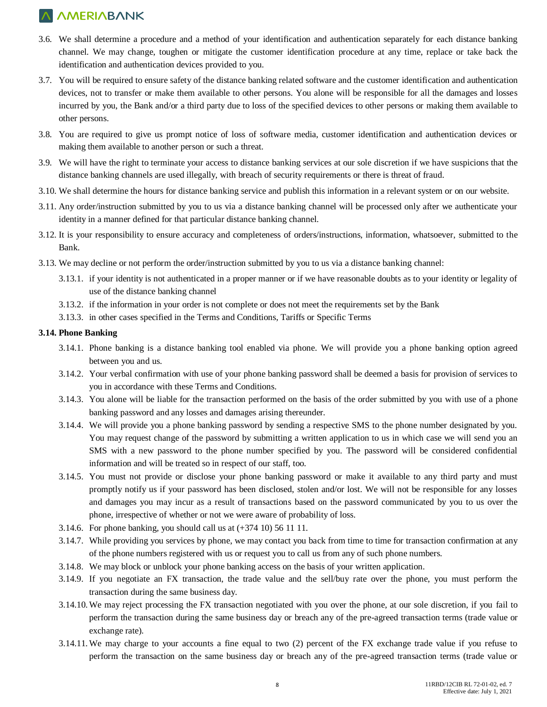- 3.6. We shall determine a procedure and a method of your identification and authentication separately for each distance banking channel. We may change, toughen or mitigate the customer identification procedure at any time, replace or take back the identification and authentication devices provided to you.
- 3.7. You will be required to ensure safety of the distance banking related software and the customer identification and authentication devices, not to transfer or make them available to other persons. You alone will be responsible for all the damages and losses incurred by you, the Bank and/or a third party due to loss of the specified devices to other persons or making them available to other persons.
- 3.8. You are required to give us prompt notice of loss of software media, customer identification and authentication devices or making them available to another person or such a threat.
- 3.9. We will have the right to terminate your access to distance banking services at our sole discretion if we have suspicions that the distance banking channels are used illegally, with breach of security requirements or there is threat of fraud.
- 3.10. We shall determine the hours for distance banking service and publish this information in a relevant system or on our website.
- 3.11. Any order/instruction submitted by you to us via a distance banking channel will be processed only after we authenticate your identity in a manner defined for that particular distance banking channel.
- 3.12. It is your responsibility to ensure accuracy and completeness of orders/instructions, information, whatsoever, submitted to the Bank.
- 3.13. We may decline or not perform the order/instruction submitted by you to us via a distance banking channel:
	- 3.13.1. if your identity is not authenticated in a proper manner or if we have reasonable doubts as to your identity or legality of use of the distance banking channel
	- 3.13.2. if the information in your order is not complete or does not meet the requirements set by the Bank
	- 3.13.3. in other cases specified in the Terms and Conditions, Tariffs or Specific Terms

#### **3.14. Phone Banking**

- 3.14.1. Phone banking is a distance banking tool enabled via phone. We will provide you a phone banking option agreed between you and us.
- 3.14.2. Your verbal confirmation with use of your phone banking password shall be deemed a basis for provision of services to you in accordance with these Terms and Conditions.
- 3.14.3. You alone will be liable for the transaction performed on the basis of the order submitted by you with use of a phone banking password and any losses and damages arising thereunder.
- 3.14.4. We will provide you a phone banking password by sending a respective SMS to the phone number designated by you. You may request change of the password by submitting a written application to us in which case we will send you an SMS with a new password to the phone number specified by you. The password will be considered confidential information and will be treated so in respect of our staff, too.
- 3.14.5. You must not provide or disclose your phone banking password or make it available to any third party and must promptly notify us if your password has been disclosed, stolen and/or lost. We will not be responsible for any losses and damages you may incur as a result of transactions based on the password communicated by you to us over the phone, irrespective of whether or not we were aware of probability of loss.
- 3.14.6. For phone banking, you should call us at (+374 10) 56 11 11.
- 3.14.7. While providing you services by phone, we may contact you back from time to time for transaction confirmation at any of the phone numbers registered with us or request you to call us from any of such phone numbers.
- 3.14.8. We may block or unblock your phone banking access on the basis of your written application.
- 3.14.9. If you negotiate an FX transaction, the trade value and the sell/buy rate over the phone, you must perform the transaction during the same business day.
- 3.14.10. We may reject processing the FX transaction negotiated with you over the phone, at our sole discretion, if you fail to perform the transaction during the same business day or breach any of the pre-agreed transaction terms (trade value or exchange rate).
- 3.14.11. We may charge to your accounts a fine equal to two (2) percent of the FX exchange trade value if you refuse to perform the transaction on the same business day or breach any of the pre-agreed transaction terms (trade value or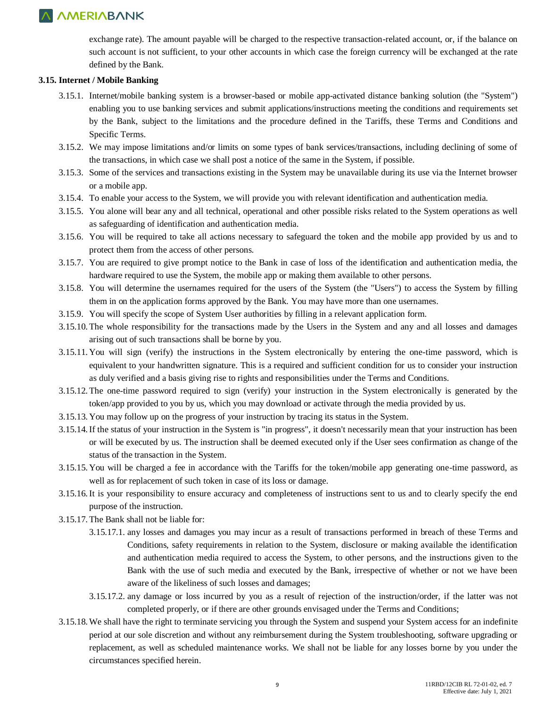exchange rate). The amount payable will be charged to the respective transaction-related account, or, if the balance on such account is not sufficient, to your other accounts in which case the foreign currency will be exchanged at the rate defined by the Bank.

#### **3.15. Internet / Mobile Banking**

- 3.15.1. Internet/mobile banking system is a browser-based or mobile app-activated distance banking solution (the "System") enabling you to use banking services and submit applications/instructions meeting the conditions and requirements set by the Bank, subject to the limitations and the procedure defined in the Tariffs, these Terms and Conditions and Specific Terms.
- 3.15.2. We may impose limitations and/or limits on some types of bank services/transactions, including declining of some of the transactions, in which case we shall post a notice of the same in the System, if possible.
- 3.15.3. Some of the services and transactions existing in the System may be unavailable during its use via the Internet browser or a mobile app.
- 3.15.4. To enable your access to the System, we will provide you with relevant identification and authentication media.
- 3.15.5. You alone will bear any and all technical, operational and other possible risks related to the System operations as well as safeguarding of identification and authentication media.
- 3.15.6. You will be required to take all actions necessary to safeguard the token and the mobile app provided by us and to protect them from the access of other persons.
- 3.15.7. You are required to give prompt notice to the Bank in case of loss of the identification and authentication media, the hardware required to use the System, the mobile app or making them available to other persons.
- 3.15.8. You will determine the usernames required for the users of the System (the "Users") to access the System by filling them in on the application forms approved by the Bank. You may have more than one usernames.
- 3.15.9. You will specify the scope of System User authorities by filling in a relevant application form.
- 3.15.10. The whole responsibility for the transactions made by the Users in the System and any and all losses and damages arising out of such transactions shall be borne by you.
- 3.15.11. You will sign (verify) the instructions in the System electronically by entering the one-time password, which is equivalent to your handwritten signature. This is a required and sufficient condition for us to consider your instruction as duly verified and a basis giving rise to rights and responsibilities under the Terms and Conditions.
- 3.15.12. The one-time password required to sign (verify) your instruction in the System electronically is generated by the token/app provided to you by us, which you may download or activate through the media provided by us.
- 3.15.13. You may follow up on the progress of your instruction by tracing its status in the System.
- 3.15.14.If the status of your instruction in the System is "in progress", it doesn't necessarily mean that your instruction has been or will be executed by us. The instruction shall be deemed executed only if the User sees confirmation as change of the status of the transaction in the System.
- 3.15.15. You will be charged a fee in accordance with the Tariffs for the token/mobile app generating one-time password, as well as for replacement of such token in case of its loss or damage.
- 3.15.16.It is your responsibility to ensure accuracy and completeness of instructions sent to us and to clearly specify the end purpose of the instruction.
- 3.15.17. The Bank shall not be liable for:
	- 3.15.17.1. any losses and damages you may incur as a result of transactions performed in breach of these Terms and Conditions, safety requirements in relation to the System, disclosure or making available the identification and authentication media required to access the System, to other persons, and the instructions given to the Bank with the use of such media and executed by the Bank, irrespective of whether or not we have been aware of the likeliness of such losses and damages;
	- 3.15.17.2. any damage or loss incurred by you as a result of rejection of the instruction/order, if the latter was not completed properly, or if there are other grounds envisaged under the Terms and Conditions;
- 3.15.18. We shall have the right to terminate servicing you through the System and suspend your System access for an indefinite period at our sole discretion and without any reimbursement during the System troubleshooting, software upgrading or replacement, as well as scheduled maintenance works. We shall not be liable for any losses borne by you under the circumstances specified herein.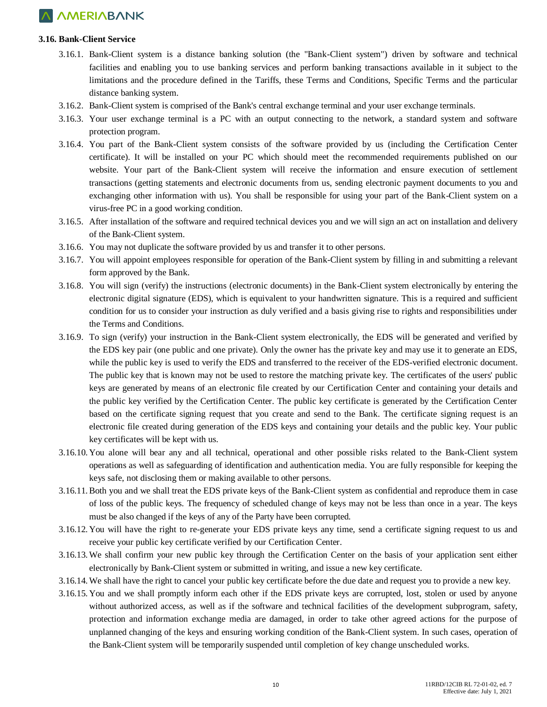#### **3.16. Bank-Client Service**

- 3.16.1. Bank-Client system is a distance banking solution (the "Bank-Client system") driven by software and technical facilities and enabling you to use banking services and perform banking transactions available in it subject to the limitations and the procedure defined in the Tariffs, these Terms and Conditions, Specific Terms and the particular distance banking system.
- 3.16.2. Bank-Client system is comprised of the Bank's central exchange terminal and your user exchange terminals.
- 3.16.3. Your user exchange terminal is a PC with an output connecting to the network, a standard system and software protection program.
- 3.16.4. You part of the Bank-Client system consists of the software provided by us (including the Certification Center certificate). It will be installed on your PC which should meet the recommended requirements published on our website. Your part of the Bank-Client system will receive the information and ensure execution of settlement transactions (getting statements and electronic documents from us, sending electronic payment documents to you and exchanging other information with us). You shall be responsible for using your part of the Bank-Client system on a virus-free PC in a good working condition.
- 3.16.5. After installation of the software and required technical devices you and we will sign an act on installation and delivery of the Bank-Client system.
- 3.16.6. You may not duplicate the software provided by us and transfer it to other persons.
- 3.16.7. You will appoint employees responsible for operation of the Bank-Client system by filling in and submitting a relevant form approved by the Bank.
- 3.16.8. You will sign (verify) the instructions (electronic documents) in the Bank-Client system electronically by entering the electronic digital signature (EDS), which is equivalent to your handwritten signature. This is a required and sufficient condition for us to consider your instruction as duly verified and a basis giving rise to rights and responsibilities under the Terms and Conditions.
- 3.16.9. To sign (verify) your instruction in the Bank-Client system electronically, the EDS will be generated and verified by the EDS key pair (one public and one private). Only the owner has the private key and may use it to generate an EDS, while the public key is used to verify the EDS and transferred to the receiver of the EDS-verified electronic document. The public key that is known may not be used to restore the matching private key. The certificates of the users' public keys are generated by means of an electronic file created by our Certification Center and containing your details and the public key verified by the Certification Center. The public key certificate is generated by the Certification Center based on the certificate signing request that you create and send to the Bank. The certificate signing request is an electronic file created during generation of the EDS keys and containing your details and the public key. Your public key certificates will be kept with us.
- 3.16.10. You alone will bear any and all technical, operational and other possible risks related to the Bank-Client system operations as well as safeguarding of identification and authentication media. You are fully responsible for keeping the keys safe, not disclosing them or making available to other persons.
- 3.16.11.Both you and we shall treat the EDS private keys of the Bank-Client system as confidential and reproduce them in case of loss of the public keys. The frequency of scheduled change of keys may not be less than once in a year. The keys must be also changed if the keys of any of the Party have been corrupted.
- 3.16.12. You will have the right to re-generate your EDS private keys any time, send a certificate signing request to us and receive your public key certificate verified by our Certification Center.
- 3.16.13. We shall confirm your new public key through the Certification Center on the basis of your application sent either electronically by Bank-Client system or submitted in writing, and issue a new key certificate.
- 3.16.14. We shall have the right to cancel your public key certificate before the due date and request you to provide a new key.
- 3.16.15. You and we shall promptly inform each other if the EDS private keys are corrupted, lost, stolen or used by anyone without authorized access, as well as if the software and technical facilities of the development subprogram, safety, protection and information exchange media are damaged, in order to take other agreed actions for the purpose of unplanned changing of the keys and ensuring working condition of the Bank-Client system. In such cases, operation of the Bank-Client system will be temporarily suspended until completion of key change unscheduled works.